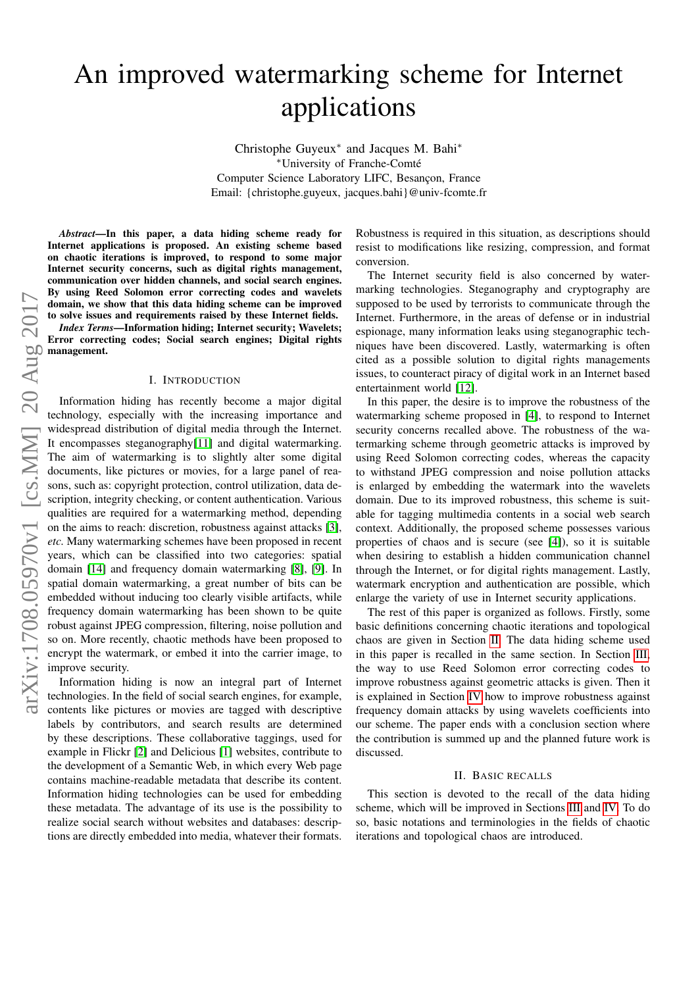# An improved watermarking scheme for Internet applications

Christophe Guyeux<sup>∗</sup> and Jacques M. Bahi<sup>∗</sup> <sup>∗</sup>University of Franche-Comté Computer Science Laboratory LIFC, Besançon, France Email: {christophe.guyeux, jacques.bahi}@univ-fcomte.fr

*Abstract*—In this paper, a data hiding scheme ready for Internet applications is proposed. An existing scheme based on chaotic iterations is improved, to respond to some major Internet security concerns, such as digital rights management, communication over hidden channels, and social search engines. By using Reed Solomon error correcting codes and wavelets domain, we show that this data hiding scheme can be improved to solve issues and requirements raised by these Internet fields. *Index Terms*—Information hiding; Internet security; Wavelets;

Error correcting codes; Social search engines; Digital rights management.

## I. INTRODUCTION

Information hiding has recently become a major digital technology, especially with the increasing importance and widespread distribution of digital media through the Internet. It encompasses steganography[\[11\]](#page-5-0) and digital watermarking. The aim of watermarking is to slightly alter some digital documents, like pictures or movies, for a large panel of reasons, such as: copyright protection, control utilization, data description, integrity checking, or content authentication. Various qualities are required for a watermarking method, depending on the aims to reach: discretion, robustness against attacks [\[3\]](#page-5-1), *etc.* Many watermarking schemes have been proposed in recent years, which can be classified into two categories: spatial domain [\[14\]](#page-5-2) and frequency domain watermarking [\[8\]](#page-5-3), [\[9\]](#page-5-4). In spatial domain watermarking, a great number of bits can be embedded without inducing too clearly visible artifacts, while frequency domain watermarking has been shown to be quite robust against JPEG compression, filtering, noise pollution and so on. More recently, chaotic methods have been proposed to encrypt the watermark, or embed it into the carrier image, to improve security.

Information hiding is now an integral part of Internet technologies. In the field of social search engines, for example, contents like pictures or movies are tagged with descriptive labels by contributors, and search results are determined by these descriptions. These collaborative taggings, used for example in Flickr [\[2\]](#page-5-5) and Delicious [\[1\]](#page-5-6) websites, contribute to the development of a Semantic Web, in which every Web page contains machine-readable metadata that describe its content. Information hiding technologies can be used for embedding these metadata. The advantage of its use is the possibility to realize social search without websites and databases: descriptions are directly embedded into media, whatever their formats.

Robustness is required in this situation, as descriptions should resist to modifications like resizing, compression, and format conversion.

The Internet security field is also concerned by watermarking technologies. Steganography and cryptography are supposed to be used by terrorists to communicate through the Internet. Furthermore, in the areas of defense or in industrial espionage, many information leaks using steganographic techniques have been discovered. Lastly, watermarking is often cited as a possible solution to digital rights managements issues, to counteract piracy of digital work in an Internet based entertainment world [\[12\]](#page-5-7).

In this paper, the desire is to improve the robustness of the watermarking scheme proposed in [\[4\]](#page-5-8), to respond to Internet security concerns recalled above. The robustness of the watermarking scheme through geometric attacks is improved by using Reed Solomon correcting codes, whereas the capacity to withstand JPEG compression and noise pollution attacks is enlarged by embedding the watermark into the wavelets domain. Due to its improved robustness, this scheme is suitable for tagging multimedia contents in a social web search context. Additionally, the proposed scheme possesses various properties of chaos and is secure (see [\[4\]](#page-5-8)), so it is suitable when desiring to establish a hidden communication channel through the Internet, or for digital rights management. Lastly, watermark encryption and authentication are possible, which enlarge the variety of use in Internet security applications.

The rest of this paper is organized as follows. Firstly, some basic definitions concerning chaotic iterations and topological chaos are given in Section [II.](#page-0-0) The data hiding scheme used in this paper is recalled in the same section. In Section [III,](#page-2-0) the way to use Reed Solomon error correcting codes to improve robustness against geometric attacks is given. Then it is explained in Section [IV](#page-3-0) how to improve robustness against frequency domain attacks by using wavelets coefficients into our scheme. The paper ends with a conclusion section where the contribution is summed up and the planned future work is discussed.

## II. BASIC RECALLS

<span id="page-0-0"></span>This section is devoted to the recall of the data hiding scheme, which will be improved in Sections [III](#page-2-0) and [IV.](#page-3-0) To do so, basic notations and terminologies in the fields of chaotic iterations and topological chaos are introduced.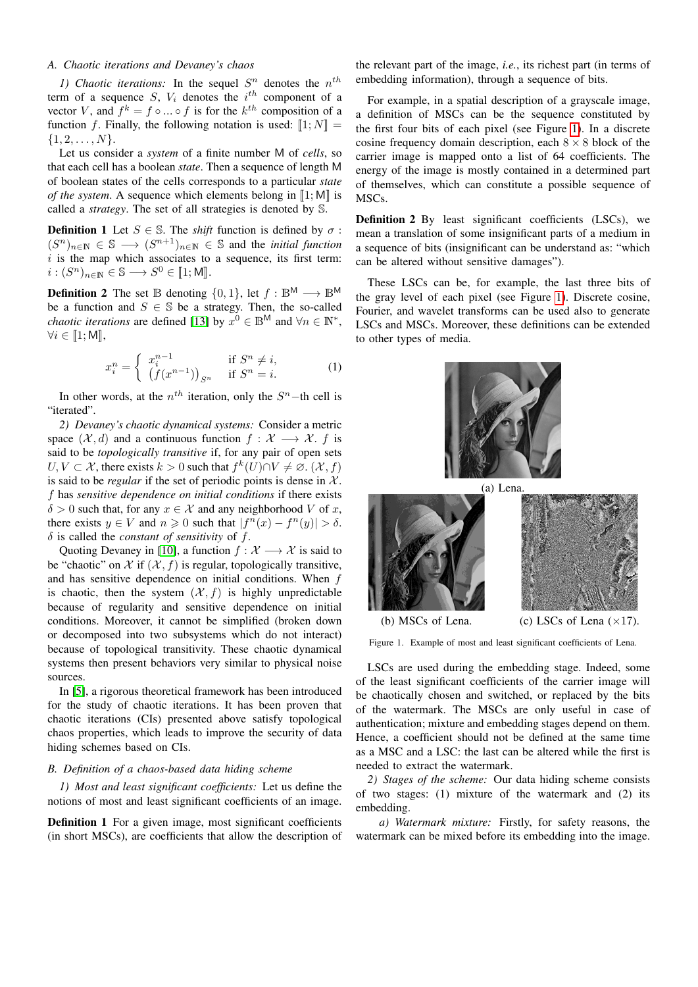## *A. Chaotic iterations and Devaney's chaos*

1) Chaotic iterations: In the sequel  $S<sup>n</sup>$  denotes the  $n<sup>th</sup>$ term of a sequence S,  $V_i$  denotes the  $i^{th}$  component of a vector V, and  $f^k = f \circ ... \circ f$  is for the  $k^{th}$  composition of a function f. Finally, the following notation is used:  $[1; N] =$  $\{1, 2, \ldots, N\}.$ 

Let us consider a *system* of a finite number M of *cells*, so that each cell has a boolean *state*. Then a sequence of length M of boolean states of the cells corresponds to a particular *state of the system.* A sequence which elements belong in  $\llbracket 1; M \rrbracket$  is called a *strategy*. The set of all strategies is denoted by S.

**Definition 1** Let  $S \in \mathbb{S}$ . The *shift* function is defined by  $\sigma$ :  $(S^n)_{n \in \mathbb{N}} \in \mathbb{S} \longrightarrow (S^{n+1})_{n \in \mathbb{N}} \in \mathbb{S}$  and the *initial function*  $i$  is the map which associates to a sequence, its first term:  $i:(S^n)_{n\in\mathbb{N}}\in\mathbb{S}\longrightarrow S^0\in\llbracket 1;\mathsf{M}\rrbracket.$ 

**Definition 2** The set B denoting  $\{0, 1\}$ , let  $f : \mathbb{B}^M \longrightarrow \mathbb{B}^M$ be a function and  $S \in \mathbb{S}$  be a strategy. Then, the so-called *chaotic iterations* are defined [\[13\]](#page-5-9) by  $x^0 \in B^M$  and  $\forall n \in \mathbb{N}^*$ ,  $\forall i \in [\![1; \mathsf{M}]\!]$ ,

$$
x_i^n = \begin{cases} x_i^{n-1} & \text{if } S^n \neq i, \\ (f(x^{n-1}))_{S^n} & \text{if } S^n = i. \end{cases}
$$
 (1)

In other words, at the  $n^{th}$  iteration, only the  $S<sup>n</sup>$ -th cell is "iterated".

*2) Devaney's chaotic dynamical systems:* Consider a metric space  $(\mathcal{X}, d)$  and a continuous function  $f : \mathcal{X} \longrightarrow \mathcal{X}$ . f is said to be *topologically transitive* if, for any pair of open sets  $U, V \subset \mathcal{X}$ , there exists  $k > 0$  such that  $f^k(U) \cap V \neq \emptyset$ .  $(\mathcal{X}, f)$ is said to be *regular* if the set of periodic points is dense in  $X$ . f has *sensitive dependence on initial conditions* if there exists  $\delta > 0$  such that, for any  $x \in \mathcal{X}$  and any neighborhood V of x, there exists  $y \in V$  and  $n \geq 0$  such that  $|f^n(x) - f^n(y)| > \delta$ . δ is called the *constant of sensitivity* of f.

Quoting Devaney in [\[10\]](#page-5-10), a function  $f : \mathcal{X} \longrightarrow \mathcal{X}$  is said to be "chaotic" on  $\mathcal X$  if  $(\mathcal X, f)$  is regular, topologically transitive, and has sensitive dependence on initial conditions. When  $f$ is chaotic, then the system  $(\mathcal{X}, f)$  is highly unpredictable because of regularity and sensitive dependence on initial conditions. Moreover, it cannot be simplified (broken down or decomposed into two subsystems which do not interact) because of topological transitivity. These chaotic dynamical systems then present behaviors very similar to physical noise sources.

In [\[5\]](#page-5-11), a rigorous theoretical framework has been introduced for the study of chaotic iterations. It has been proven that chaotic iterations (CIs) presented above satisfy topological chaos properties, which leads to improve the security of data hiding schemes based on CIs.

## *B. Definition of a chaos-based data hiding scheme*

*1) Most and least significant coefficients:* Let us define the notions of most and least significant coefficients of an image.

Definition 1 For a given image, most significant coefficients (in short MSCs), are coefficients that allow the description of

the relevant part of the image, *i.e.*, its richest part (in terms of embedding information), through a sequence of bits.

For example, in a spatial description of a grayscale image, a definition of MSCs can be the sequence constituted by the first four bits of each pixel (see Figure [1\)](#page-1-0). In a discrete cosine frequency domain description, each  $8 \times 8$  block of the carrier image is mapped onto a list of 64 coefficients. The energy of the image is mostly contained in a determined part of themselves, which can constitute a possible sequence of MSCs.

Definition 2 By least significant coefficients (LSCs), we mean a translation of some insignificant parts of a medium in a sequence of bits (insignificant can be understand as: "which can be altered without sensitive damages").

These LSCs can be, for example, the last three bits of the gray level of each pixel (see Figure [1\)](#page-1-0). Discrete cosine, Fourier, and wavelet transforms can be used also to generate LSCs and MSCs. Moreover, these definitions can be extended to other types of media.







Figure 1. Example of most and least significant coefficients of Lena.

<span id="page-1-0"></span>LSCs are used during the embedding stage. Indeed, some of the least significant coefficients of the carrier image will be chaotically chosen and switched, or replaced by the bits of the watermark. The MSCs are only useful in case of authentication; mixture and embedding stages depend on them. Hence, a coefficient should not be defined at the same time as a MSC and a LSC: the last can be altered while the first is needed to extract the watermark.

*2) Stages of the scheme:* Our data hiding scheme consists of two stages: (1) mixture of the watermark and (2) its embedding.

*a) Watermark mixture:* Firstly, for safety reasons, the watermark can be mixed before its embedding into the image.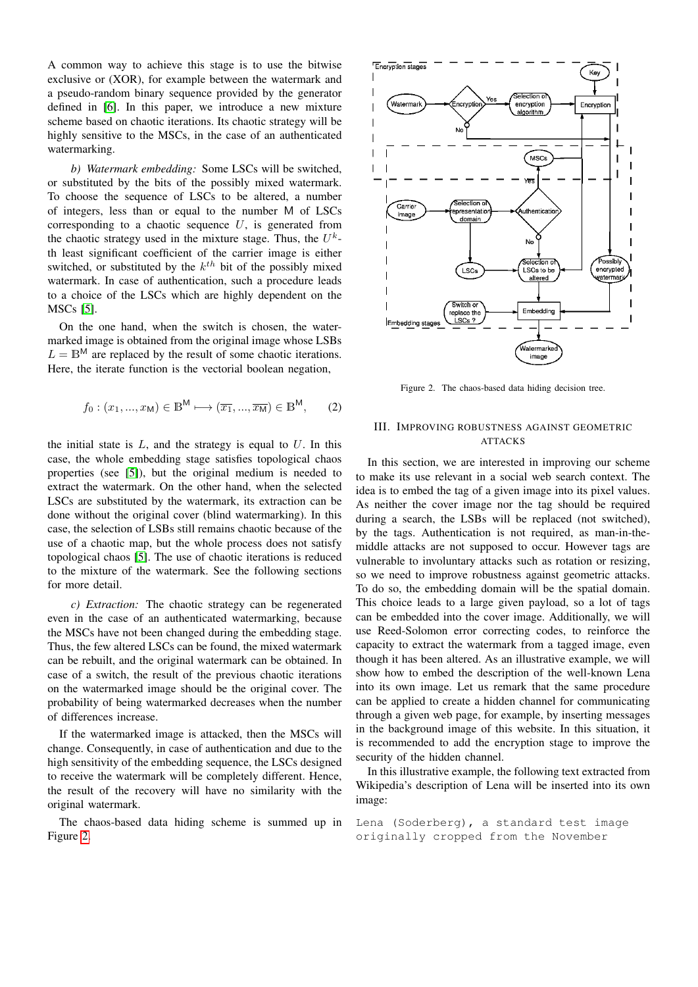A common way to achieve this stage is to use the bitwise exclusive or (XOR), for example between the watermark and a pseudo-random binary sequence provided by the generator defined in [\[6\]](#page-5-12). In this paper, we introduce a new mixture scheme based on chaotic iterations. Its chaotic strategy will be highly sensitive to the MSCs, in the case of an authenticated watermarking.

*b) Watermark embedding:* Some LSCs will be switched, or substituted by the bits of the possibly mixed watermark. To choose the sequence of LSCs to be altered, a number of integers, less than or equal to the number M of LSCs corresponding to a chaotic sequence  $U$ , is generated from the chaotic strategy used in the mixture stage. Thus, the  $U^k$ th least significant coefficient of the carrier image is either switched, or substituted by the  $k^{th}$  bit of the possibly mixed watermark. In case of authentication, such a procedure leads to a choice of the LSCs which are highly dependent on the MSCs [\[5\]](#page-5-11).

On the one hand, when the switch is chosen, the watermarked image is obtained from the original image whose LSBs  $L = \mathbb{B}^{\mathsf{M}}$  are replaced by the result of some chaotic iterations. Here, the iterate function is the vectorial boolean negation,

$$
f_0: (x_1, ..., x_M) \in \mathbb{B}^M \longmapsto (\overline{x_1}, ..., \overline{x_M}) \in \mathbb{B}^M, \qquad (2)
$$

the initial state is  $L$ , and the strategy is equal to  $U$ . In this case, the whole embedding stage satisfies topological chaos properties (see [\[5\]](#page-5-11)), but the original medium is needed to extract the watermark. On the other hand, when the selected LSCs are substituted by the watermark, its extraction can be done without the original cover (blind watermarking). In this case, the selection of LSBs still remains chaotic because of the use of a chaotic map, but the whole process does not satisfy topological chaos [\[5\]](#page-5-11). The use of chaotic iterations is reduced to the mixture of the watermark. See the following sections for more detail.

*c) Extraction:* The chaotic strategy can be regenerated even in the case of an authenticated watermarking, because the MSCs have not been changed during the embedding stage. Thus, the few altered LSCs can be found, the mixed watermark can be rebuilt, and the original watermark can be obtained. In case of a switch, the result of the previous chaotic iterations on the watermarked image should be the original cover. The probability of being watermarked decreases when the number of differences increase.

If the watermarked image is attacked, then the MSCs will change. Consequently, in case of authentication and due to the high sensitivity of the embedding sequence, the LSCs designed to receive the watermark will be completely different. Hence, the result of the recovery will have no similarity with the original watermark.

The chaos-based data hiding scheme is summed up in Figure [2.](#page-2-1)



<span id="page-2-1"></span>Figure 2. The chaos-based data hiding decision tree.

## <span id="page-2-0"></span>III. IMPROVING ROBUSTNESS AGAINST GEOMETRIC **ATTACKS**

In this section, we are interested in improving our scheme to make its use relevant in a social web search context. The idea is to embed the tag of a given image into its pixel values. As neither the cover image nor the tag should be required during a search, the LSBs will be replaced (not switched), by the tags. Authentication is not required, as man-in-themiddle attacks are not supposed to occur. However tags are vulnerable to involuntary attacks such as rotation or resizing, so we need to improve robustness against geometric attacks. To do so, the embedding domain will be the spatial domain. This choice leads to a large given payload, so a lot of tags can be embedded into the cover image. Additionally, we will use Reed-Solomon error correcting codes, to reinforce the capacity to extract the watermark from a tagged image, even though it has been altered. As an illustrative example, we will show how to embed the description of the well-known Lena into its own image. Let us remark that the same procedure can be applied to create a hidden channel for communicating through a given web page, for example, by inserting messages in the background image of this website. In this situation, it is recommended to add the encryption stage to improve the security of the hidden channel.

In this illustrative example, the following text extracted from Wikipedia's description of Lena will be inserted into its own image:

Lena (Soderberg), a standard test image originally cropped from the November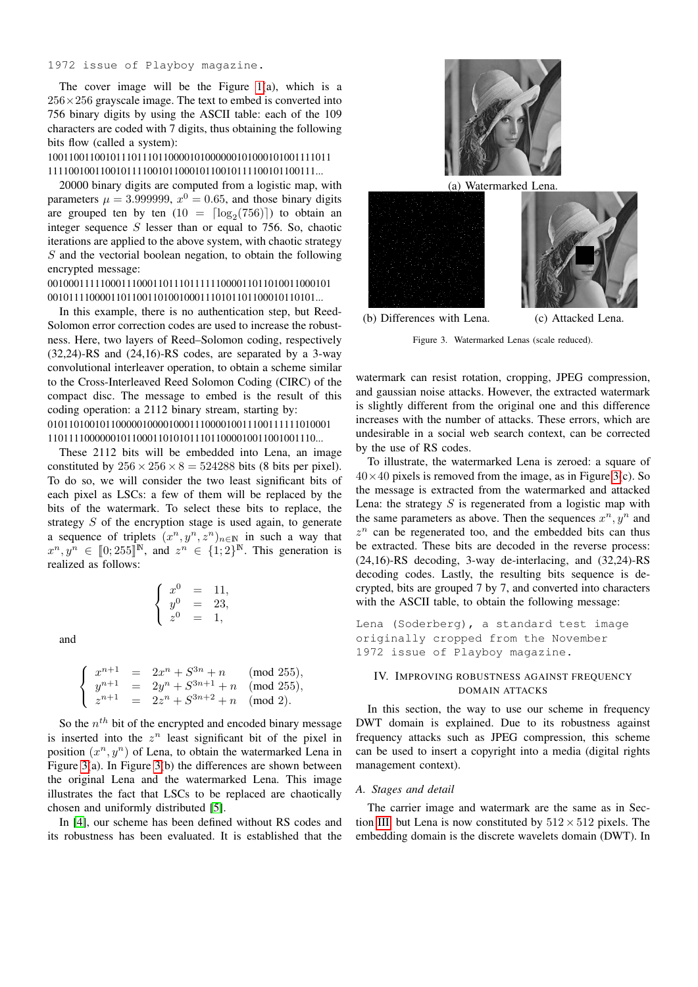#### 1972 issue of Playboy magazine.

The cover image will be the Figure  $1(a)$ , which is a  $256 \times 256$  grayscale image. The text to embed is converted into 756 binary digits by using the ASCII table: each of the 109 characters are coded with 7 digits, thus obtaining the following bits flow (called a system):

100110011001011101110110000101000000101000101001111011 111100100110010111100101100010110010111100101100111...

20000 binary digits are computed from a logistic map, with parameters  $\mu = 3.999999$ ,  $x^0 = 0.65$ , and those binary digits are grouped ten by ten  $(10 = \lceil \log_2(756) \rceil)$  to obtain an integer sequence  $S$  lesser than or equal to 756. So, chaotic iterations are applied to the above system, with chaotic strategy  $S$  and the vectorial boolean negation, to obtain the following encrypted message:

001000111110001110001101110111111000011011010011000101 001011110000110110011010010001110101101100010110101...

In this example, there is no authentication step, but Reed-Solomon error correction codes are used to increase the robustness. Here, two layers of Reed–Solomon coding, respectively (32,24)-RS and (24,16)-RS codes, are separated by a 3-way convolutional interleaver operation, to obtain a scheme similar to the Cross-Interleaved Reed Solomon Coding (CIRC) of the compact disc. The message to embed is the result of this coding operation: a 2112 binary stream, starting by: 010110100101100000100001000111000010011100111111010001 110111100000010110001101010111011000010011001001110...

These 2112 bits will be embedded into Lena, an image constituted by  $256 \times 256 \times 8 = 524288$  bits (8 bits per pixel). To do so, we will consider the two least significant bits of each pixel as LSCs: a few of them will be replaced by the bits of the watermark. To select these bits to replace, the strategy S of the encryption stage is used again, to generate a sequence of triplets  $(x^n, y^n, z^n)_{n \in \mathbb{N}}$  in such a way that  $x^n, y^n \in [0; 255]^{N}$ , and  $z^n \in \{1; 2\}^{N}$ . This generation is realized as follows: realized as follows:

$$
\begin{cases}\nx^0 = 11, \\
y^0 = 23, \\
z^0 = 1,\n\end{cases}
$$

and

$$
\left\{\begin{array}{lll} x^{n+1} &=& 2x^n+S^{3n}+n \quad \ \ (\text{mod}\ 255), \\ y^{n+1} &=& 2y^n+S^{3n+1}+n \quad \ (\text{mod}\ 255), \\ z^{n+1} &=& 2z^n+S^{3n+2}+n \quad \ (\text{mod}\ 2). \end{array}\right.
$$

So the  $n^{th}$  bit of the encrypted and encoded binary message is inserted into the  $z^n$  least significant bit of the pixel in position  $(x^n, y^n)$  of Lena, to obtain the watermarked Lena in Figure [3\(](#page-3-1)a). In Figure [3\(](#page-3-1)b) the differences are shown between the original Lena and the watermarked Lena. This image illustrates the fact that LSCs to be replaced are chaotically chosen and uniformly distributed [\[5\]](#page-5-11).

In [\[4\]](#page-5-8), our scheme has been defined without RS codes and its robustness has been evaluated. It is established that the



(a) Watermarked Lena.



(b) Differences with Lena. (c) Attacked Lena.

<span id="page-3-1"></span>Figure 3. Watermarked Lenas (scale reduced).

watermark can resist rotation, cropping, JPEG compression, and gaussian noise attacks. However, the extracted watermark is slightly different from the original one and this difference increases with the number of attacks. These errors, which are undesirable in a social web search context, can be corrected by the use of RS codes.

To illustrate, the watermarked Lena is zeroed: a square of  $40\times40$  pixels is removed from the image, as in Figure [3\(](#page-3-1)c). So the message is extracted from the watermarked and attacked Lena: the strategy  $S$  is regenerated from a logistic map with the same parameters as above. Then the sequences  $x^n, y^n$  and  $z^n$  can be regenerated too, and the embedded bits can thus be extracted. These bits are decoded in the reverse process: (24,16)-RS decoding, 3-way de-interlacing, and (32,24)-RS decoding codes. Lastly, the resulting bits sequence is decrypted, bits are grouped 7 by 7, and converted into characters with the ASCII table, to obtain the following message:

```
Lena (Soderberg), a standard test image
originally cropped from the November
1972 issue of Playboy magazine.
```
## <span id="page-3-0"></span>IV. IMPROVING ROBUSTNESS AGAINST FREQUENCY DOMAIN ATTACKS

In this section, the way to use our scheme in frequency DWT domain is explained. Due to its robustness against frequency attacks such as JPEG compression, this scheme can be used to insert a copyright into a media (digital rights management context).

## *A. Stages and detail*

The carrier image and watermark are the same as in Sec-tion [III,](#page-2-0) but Lena is now constituted by  $512 \times 512$  pixels. The embedding domain is the discrete wavelets domain (DWT). In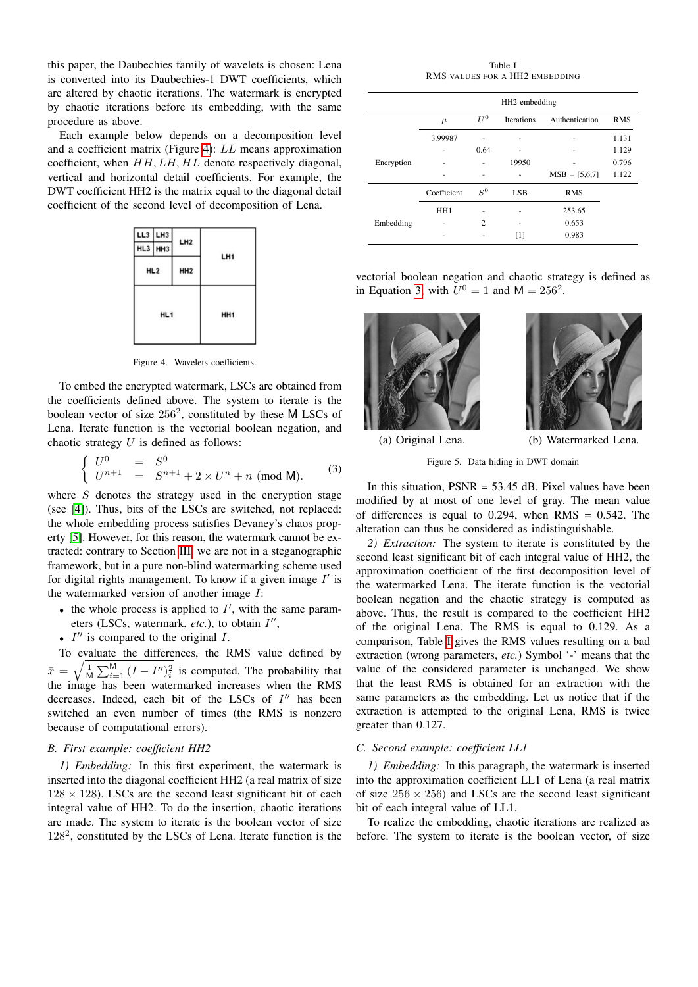this paper, the Daubechies family of wavelets is chosen: Lena is converted into its Daubechies-1 DWT coefficients, which are altered by chaotic iterations. The watermark is encrypted by chaotic iterations before its embedding, with the same procedure as above.

Each example below depends on a decomposition level and a coefficient matrix (Figure [4\)](#page-4-0): LL means approximation coefficient, when HH, LH, HL denote respectively diagonal, vertical and horizontal detail coefficients. For example, the DWT coefficient HH2 is the matrix equal to the diagonal detail coefficient of the second level of decomposition of Lena.

|                 | $LL3$ $LH3$ | LH <sub>2</sub> |                 |  |
|-----------------|-------------|-----------------|-----------------|--|
|                 | HL3 HH3     |                 | LH <sub>1</sub> |  |
| HL <sub>2</sub> |             | HH <sub>2</sub> |                 |  |
| HL <sub>1</sub> |             |                 | HH <sub>1</sub> |  |

<span id="page-4-0"></span>Figure 4. Wavelets coefficients.

To embed the encrypted watermark, LSCs are obtained from the coefficients defined above. The system to iterate is the boolean vector of size  $256^2$ , constituted by these M LSCs of Lena. Iterate function is the vectorial boolean negation, and chaotic strategy  $U$  is defined as follows:

<span id="page-4-1"></span>
$$
\begin{cases}\nU^0 = S^0 \\
U^{n+1} = S^{n+1} + 2 \times U^n + n \pmod{M}.\n\end{cases}
$$
\n(3)

where  $S$  denotes the strategy used in the encryption stage (see [\[4\]](#page-5-8)). Thus, bits of the LSCs are switched, not replaced: the whole embedding process satisfies Devaney's chaos property [\[5\]](#page-5-11). However, for this reason, the watermark cannot be extracted: contrary to Section [III,](#page-2-0) we are not in a steganographic framework, but in a pure non-blind watermarking scheme used for digital rights management. To know if a given image  $I'$  is the watermarked version of another image I:

- $\bullet$  the whole process is applied to  $I'$ , with the same parameters (LSCs, watermark, etc.), to obtain  $I''$ ,
- $I''$  is compared to the original  $I$ .

To evaluate the differences, the RMS value defined by  $\bar{x} = \sqrt{\frac{1}{M} \sum_{i=1}^{M} (I - I'')_i^2}$  is computed. The probability that the image has been watermarked increases when the RMS decreases. Indeed, each bit of the LSCs of  $I''$  has been switched an even number of times (the RMS is nonzero because of computational errors).

#### *B. First example: coefficient HH2*

*1) Embedding:* In this first experiment, the watermark is inserted into the diagonal coefficient HH2 (a real matrix of size  $128 \times 128$ ). LSCs are the second least significant bit of each integral value of HH2. To do the insertion, chaotic iterations are made. The system to iterate is the boolean vector of size 128<sup>2</sup>, constituted by the LSCs of Lena. Iterate function is the

Table I RMS VALUES FOR A HH2 EMBEDDING

<span id="page-4-2"></span>

|            | HH2 embedding   |       |                   |                 |            |
|------------|-----------------|-------|-------------------|-----------------|------------|
|            | $\mu$           | $U^0$ | <b>Iterations</b> | Authentication  | <b>RMS</b> |
|            | 3.99987         |       | ۰                 |                 | 1.131      |
|            |                 | 0.64  |                   |                 | 1.129      |
| Encryption |                 |       | 19950             |                 | 0.796      |
|            |                 |       |                   | $MSB = [5,6,7]$ | 1.122      |
|            | Coefficient     | $S^0$ | LSB.              | <b>RMS</b>      |            |
|            | HH <sub>1</sub> |       |                   | 253.65          |            |
| Embedding  |                 | 2     | ۰                 | 0.653           |            |
|            |                 |       | [1]               | 0.983           |            |

vectorial boolean negation and chaotic strategy is defined as in Equation [3,](#page-4-1) with  $U^0 = 1$  and  $M = 256^2$ .





(a) Original Lena. (b) Watermarked Lena.

Figure 5. Data hiding in DWT domain

In this situation,  $PSNR = 53.45$  dB. Pixel values have been modified by at most of one level of gray. The mean value of differences is equal to  $0.294$ , when RMS =  $0.542$ . The alteration can thus be considered as indistinguishable.

*2) Extraction:* The system to iterate is constituted by the second least significant bit of each integral value of HH2, the approximation coefficient of the first decomposition level of the watermarked Lena. The iterate function is the vectorial boolean negation and the chaotic strategy is computed as above. Thus, the result is compared to the coefficient HH2 of the original Lena. The RMS is equal to 0.129. As a comparison, Table [I](#page-4-2) gives the RMS values resulting on a bad extraction (wrong parameters, *etc.*) Symbol '-' means that the value of the considered parameter is unchanged. We show that the least RMS is obtained for an extraction with the same parameters as the embedding. Let us notice that if the extraction is attempted to the original Lena, RMS is twice greater than 0.127.

## *C. Second example: coefficient LL1*

*1) Embedding:* In this paragraph, the watermark is inserted into the approximation coefficient LL1 of Lena (a real matrix of size  $256 \times 256$ ) and LSCs are the second least significant bit of each integral value of LL1.

To realize the embedding, chaotic iterations are realized as before. The system to iterate is the boolean vector, of size